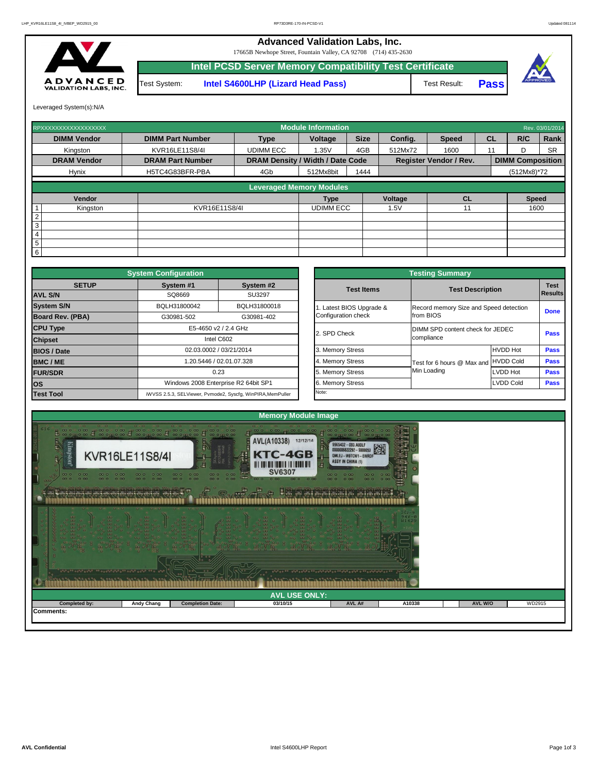Leveraged System(s):N/A



| RPXXXXXXXXXXXXXXXXX |                         |                                         | <b>Module Information</b> |             |                |                               |           |                         | Rev. 03/01/2014 |
|---------------------|-------------------------|-----------------------------------------|---------------------------|-------------|----------------|-------------------------------|-----------|-------------------------|-----------------|
| <b>DIMM Vendor</b>  | <b>DIMM Part Number</b> | <b>Type</b>                             | <b>Voltage</b>            | <b>Size</b> | <b>Config.</b> | <b>Speed</b>                  | <b>CL</b> | R/C                     | Rank            |
| Kingston            | KVR16LE11S8/4I          | <b>UDIMM ECC</b>                        | 1.35V                     | 4GB         | 512Mx72        | 1600                          | 11        | D.                      | <b>SR</b>       |
| <b>DRAM Vendor</b>  | <b>DRAM Part Number</b> | <b>DRAM Density / Width / Date Code</b> |                           |             |                | <b>Register Vendor / Rev.</b> |           | <b>DIMM Composition</b> |                 |
| <b>Hynix</b>        | H5TC4G83BFR-PBA         | 4Gb                                     | 512Mx8bit                 | 1444        |                |                               |           | $(512Mx8)*72$           |                 |
|                     |                         | <b>Leveraged Memory Modules</b>         |                           |             |                |                               |           |                         |                 |
|                     |                         |                                         |                           |             |                |                               |           |                         |                 |
| Vendor              |                         |                                         | <b>Type</b>               |             | Voltage        | CL                            |           | <b>Speed</b>            |                 |
| Kingston            | KVR16E11S8/4I           |                                         | <b>UDIMM ECC</b>          |             | 1.5V           |                               |           | 1600                    |                 |
| $\overline{2}$      |                         |                                         |                           |             |                |                               |           |                         |                 |
| 3                   |                         |                                         |                           |             |                |                               |           |                         |                 |
| $\overline{4}$      |                         |                                         |                           |             |                |                               |           |                         |                 |
| $\overline{5}$      |                         |                                         |                           |             |                |                               |           |                         |                 |
| $6\phantom{.}6$     |                         |                                         |                           |             |                |                               |           |                         |                 |

|              | <b>System Configuration</b> |                                                             |                       | <b>Testing Summary</b>                 |                  |                |
|--------------|-----------------------------|-------------------------------------------------------------|-----------------------|----------------------------------------|------------------|----------------|
| <b>SETUP</b> | System #1                   | System #2                                                   | <b>Test Items</b>     | <b>Test Description</b>                |                  | <b>Test</b>    |
|              | SQ8669                      | SU3297                                                      |                       |                                        |                  | <b>Results</b> |
|              | BQLH31800042                | BQLH31800018                                                | Latest BIOS Upgrade & | Record memory Size and Speed detection |                  |                |
| PBA)         | G30981-502                  | G30981-402                                                  | Configuration check   | from BIOS                              |                  | <b>Done</b>    |
|              |                             | E5-4650 v2 / 2.4 GHz                                        |                       | DIMM SPD content check for JEDEC       |                  |                |
|              |                             | Intel C602                                                  | 2. SPD Check          | compliance                             |                  | <b>Pass</b>    |
|              |                             | 02.03.0002 / 03/21/2014                                     | 3. Memory Stress      |                                        | <b>HVDD Hot</b>  | <b>Pass</b>    |
|              |                             | 1.20.5446 / 02.01.07.328                                    | 4. Memory Stress      | Test for 6 hours @ Max and             | <b>HVDD Cold</b> | <b>Pass</b>    |
|              |                             | 0.23                                                        | Memory Stress         | Min Loading                            | LVDD Hot         | <b>Pass</b>    |
|              |                             | Windows 2008 Enterprise R2 64bit SP1                        | 6. Memory Stress      |                                        | LVDD Cold        | <b>Pass</b>    |
|              |                             | iWVSS 2.5.3, SELViewer, Pvmode2, Syscfg, WinPIRA, MemPuller | Note:                 |                                        |                  |                |

|                         | <b>System Configuration</b> |                                                             |                          | <b>Testing Summary</b>                 |                  |             |
|-------------------------|-----------------------------|-------------------------------------------------------------|--------------------------|----------------------------------------|------------------|-------------|
| <b>SETUP</b>            | System #1                   | System #2                                                   | <b>Test Items</b>        | <b>Test Description</b>                |                  | <b>Test</b> |
| <b>AVL S/N</b>          | SQ8669                      | <b>SU3297</b>                                               |                          |                                        |                  | Results     |
| <b>System S/N</b>       | BQLH31800042                | BQLH31800018                                                | 1. Latest BIOS Upgrade & | Record memory Size and Speed detection |                  |             |
| <b>Board Rev. (PBA)</b> | G30981-502                  | G30981-402                                                  | Configuration check      | from BIOS                              |                  | <b>Done</b> |
| <b>CPU Type</b>         |                             | E5-4650 v2 / 2.4 GHz                                        | 2. SPD Check             | DIMM SPD content check for JEDEC       |                  |             |
| <b>Chipset</b>          |                             | Intel C602                                                  |                          | compliance                             |                  | <b>Pass</b> |
| <b>BIOS / Date</b>      |                             | 02.03.0002 / 03/21/2014                                     | 3. Memory Stress         |                                        | HVDD Hot         | <b>Pass</b> |
| <b>BMC/ME</b>           |                             | 1.20.5446 / 02.01.07.328                                    | 4. Memory Stress         | Test for 6 hours @ Max and             | <b>HVDD Cold</b> | <b>Pass</b> |
| <b>FUR/SDR</b>          |                             | 0.23                                                        | 5. Memory Stress         | Min Loading                            | LVDD Hot         | <b>Pass</b> |
| <b>los</b>              |                             | Windows 2008 Enterprise R2 64bit SP1                        | 6. Memory Stress         |                                        | <b>LVDD Cold</b> | <b>Pass</b> |
| <b>Test Tool</b>        |                             | iWVSS 2.5.3, SELViewer, Pvmode2, Syscfg, WinPIRA, MemPuller | Note:                    |                                        |                  |             |

| <u>Realle labragle largesla lagbarla large</u> |                   | 000                     |                      |        |        |                |        |
|------------------------------------------------|-------------------|-------------------------|----------------------|--------|--------|----------------|--------|
|                                                |                   |                         | <b>AVL USE ONLY:</b> |        |        |                |        |
| Completed by:                                  | <b>Andy Chang</b> | <b>Completion Date:</b> | 03/10/15             | AVL A# | A10338 | <b>AVL W/O</b> | WD2915 |
| <b>Comments:</b>                               |                   |                         |                      |        |        |                |        |

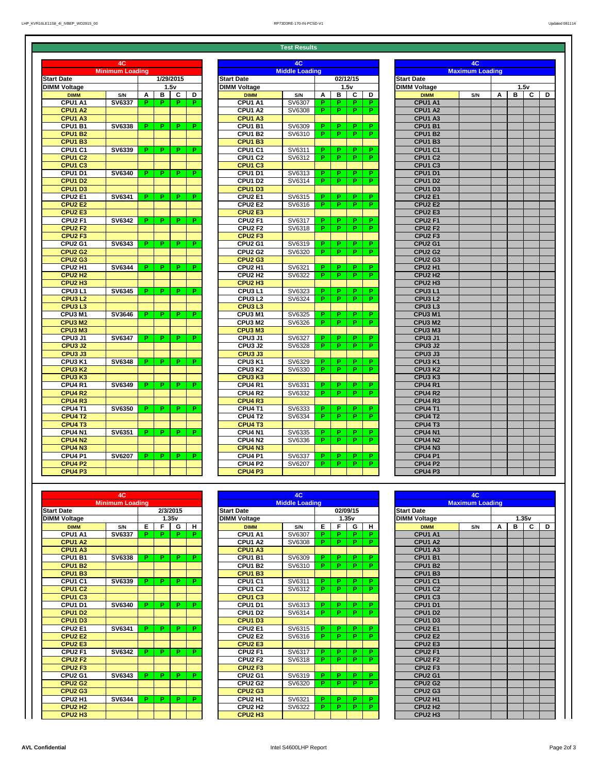**Test Results**

|                                 | 4C                     |    |   |          |                |                                 | 4C                    |    |    |          |    |                                 | 4C                     |   |             |                |   |
|---------------------------------|------------------------|----|---|----------|----------------|---------------------------------|-----------------------|----|----|----------|----|---------------------------------|------------------------|---|-------------|----------------|---|
|                                 | <b>Minimum Loading</b> |    |   |          |                |                                 | <b>Middle Loading</b> |    |    |          |    |                                 | <b>Maximum Loading</b> |   |             |                |   |
| <b>Date</b>                     |                        |    |   | 2/3/2015 |                | <b>Start Date</b>               |                       |    |    | 02/09/15 |    | <b>Start Date</b>               |                        |   |             |                |   |
| Voltage                         |                        |    |   | 1.35v    |                | <b>DIMM Voltage</b>             |                       |    |    | 1.35v    |    | <b>DIMM Voltage</b>             |                        |   |             | 1.35v          |   |
| <b>DIMM</b>                     | S/N                    | Е  | F | G        | H              | <b>DIMM</b>                     | S/N                   | Е  | F  | G        | H  | <b>DIMM</b>                     | S/N                    | A | $\mathbf B$ | $\overline{c}$ | D |
| <b>CPU1 A1</b>                  | <b>SV6337</b>          | P. | P | P.       | Р.             | <b>CPU1 A1</b>                  | SV6307                | P. | P  | P.       | P. | <b>CPU1 A1</b>                  |                        |   |             |                |   |
| <b>CPU1 A2</b>                  |                        |    |   |          |                | CPU1 A2                         | SV6308                | P. | P  | P        | P. | <b>CPU1 A2</b>                  |                        |   |             |                |   |
| CPU1 A3                         |                        |    |   |          |                | <b>CPU1 A3</b>                  |                       |    |    |          |    | <b>CPU1 A3</b>                  |                        |   |             |                |   |
| <b>CPU1 B1</b>                  | <b>SV6338</b>          | P. | P | D.       | P.             | <b>CPU1 B1</b>                  | SV6309                | P. | P  | P.       | P. | <b>CPU1 B1</b>                  |                        |   |             |                |   |
| <b>CPU1 B2</b>                  |                        |    |   |          |                | <b>CPU1 B2</b>                  | SV6310                | D. | P  | P.       | Р. | <b>CPU1 B2</b>                  |                        |   |             |                |   |
| CPU1 B3                         |                        |    |   |          |                | <b>CPU1 B3</b>                  |                       |    |    |          |    | <b>CPU1 B3</b>                  |                        |   |             |                |   |
| <b>CPU1 C1</b>                  | <b>SV6339</b>          | P. | P | Р.       | P.             | CPU1 C1                         | SV6311                | P. | P  | P.       | P. | <b>CPU1 C1</b>                  |                        |   |             |                |   |
| <b>CPU1 C2</b>                  |                        |    |   |          |                | <b>CPU1 C2</b>                  | SV6312                | P. | P. | P.       | P. | <b>CPU1 C2</b>                  |                        |   |             |                |   |
| CPU1 C3                         |                        |    |   |          |                | <b>CPU1 C3</b>                  |                       |    |    |          |    | <b>CPU1 C3</b>                  |                        |   |             |                |   |
| <b>CPU1 D1</b>                  | <b>SV6340</b>          | P. | P | P.       | P.             | <b>CPU1 D1</b>                  | SV6313                | P. | P  | P.       | P. | <b>CPU1 D1</b>                  |                        |   |             |                |   |
| CPU1 D2                         |                        |    |   |          |                | <b>CPU1 D2</b>                  | SV6314                | P. | P  | P.       | P. | <b>CPU1 D2</b>                  |                        |   |             |                |   |
| CPU1 D3                         |                        |    |   |          |                | CPU1 D3                         |                       |    |    |          |    | <b>CPU1 D3</b>                  |                        |   |             |                |   |
| <b>CPU2 E1</b>                  | SV6341                 | P. | P | P.       | P.             | <b>CPU2 E1</b>                  | SV6315                | P. | P  | P.       | P. | <b>CPU2 E1</b>                  |                        |   |             |                |   |
| <b>CPU2 E2</b>                  |                        |    |   |          |                | <b>CPU2 E2</b>                  | SV6316                | P. | P  | P.       | P. | <b>CPU2 E2</b>                  |                        |   |             |                |   |
| <b>CPU2 E3</b>                  |                        |    |   |          |                | <b>CPU2 E3</b>                  |                       |    |    |          |    | <b>CPU2 E3</b>                  |                        |   |             |                |   |
| CPU <sub>2</sub> F1             | <b>SV6342</b>          | P. | P | Р.       | P.             | <b>CPU2 F1</b>                  | SV6317                | P. | P  | P.       | P. | <b>CPU2 F1</b>                  |                        |   |             |                |   |
| CPU <sub>2</sub> F <sub>2</sub> |                        |    |   |          |                | CPU <sub>2</sub> F <sub>2</sub> | SV6318                | P. | P  | P.       | P. | CPU <sub>2</sub> F <sub>2</sub> |                        |   |             |                |   |
| CPU <sub>2</sub> F <sub>3</sub> |                        |    |   |          |                | <b>CPU2 F3</b>                  |                       |    |    |          |    | CPU <sub>2</sub> F <sub>3</sub> |                        |   |             |                |   |
| <b>CPU2 G1</b>                  | <b>SV6343</b>          | P. | P | P.       | $\overline{P}$ | <b>CPU2 G1</b>                  | SV6319                | P. | P  | P        | P. | <b>CPU2 G1</b>                  |                        |   |             |                |   |
| <b>CPU2 G2</b>                  |                        |    |   |          |                | <b>CPU2 G2</b>                  | SV6320                | P. | P  | P.       | P. | <b>CPU2 G2</b>                  |                        |   |             |                |   |
| <b>CPU2 G3</b>                  |                        |    |   |          |                | <b>CPU2 G3</b>                  |                       |    |    |          |    | <b>CPU2 G3</b>                  |                        |   |             |                |   |
| $\overline{C}$ PU2 H1           | <b>SV6344</b>          | P. | P | P.       | P.             | CPU <sub>2</sub> H <sub>1</sub> | SV6321                | P. | P  | P.       | P. | CPU <sub>2</sub> H1             |                        |   |             |                |   |
| <b>CPU2 H2</b>                  |                        |    |   |          |                | CPU <sub>2</sub> H <sub>2</sub> | SV6322                | P. | P. | P.       | P. | CPU <sub>2</sub> H <sub>2</sub> |                        |   |             |                |   |
| CPU <sub>2</sub> H <sub>3</sub> |                        |    |   |          |                | CPU <sub>2</sub> H <sub>3</sub> |                       |    |    |          |    | CPU <sub>2</sub> H <sub>3</sub> |                        |   |             |                |   |

|                     | 4C                     |    |    |           |                |                                 | 4C                    |    |    |                         |    |                                 | 4C                     |   |   |                |  |
|---------------------|------------------------|----|----|-----------|----------------|---------------------------------|-----------------------|----|----|-------------------------|----|---------------------------------|------------------------|---|---|----------------|--|
|                     | <b>Minimum Loading</b> |    |    |           |                |                                 | <b>Middle Loading</b> |    |    |                         |    |                                 | <b>Maximum Loading</b> |   |   |                |  |
| <b>Date</b>         |                        |    |    | 1/29/2015 |                | <b>Start Date</b>               |                       |    |    | 02/12/15                |    | <b>Start Date</b>               |                        |   |   |                |  |
| <b>Voltage</b>      |                        |    |    | 1.5v      |                | <b>DIMM Voltage</b>             |                       |    |    | 1.5v                    |    | <b>DIMM Voltage</b>             |                        |   |   | 1.5v           |  |
| <b>DIMM</b>         | S/N                    | A  | В  | C         | D              | <b>DIMM</b>                     | S/N                   | A  | В  | $\mathbf c$             | D  | <b>DIMM</b>                     | S/N                    | A | B | $\overline{c}$ |  |
| CPU1 A1             | <b>SV6337</b>          | P. | P  | P         | $\overline{P}$ | CPU1 A1                         | SV6307                | P. | P  | $\overline{\mathbf{P}}$ | P. | <b>CPU1 A1</b>                  |                        |   |   |                |  |
| <b>CPU1 A2</b>      |                        |    |    |           |                | CPU1 A2                         | SV6308                | P. | P. | P.                      | P. | <b>CPU1 A2</b>                  |                        |   |   |                |  |
| <b>CPU1 A3</b>      |                        |    |    |           |                | CPU1 A3                         |                       |    |    |                         |    | CPU1 A3                         |                        |   |   |                |  |
| <b>CPU1 B1</b>      | <b>SV6338</b>          | Р. | P  | Р.        | P.             | CPU1 B1                         | SV6309                | P. | P  | P                       | P. | <b>CPU1 B1</b>                  |                        |   |   |                |  |
| <b>CPU1 B2</b>      |                        |    |    |           |                | CPU1 B2                         | SV6310                | P. | P  | P.                      | P. | <b>CPU1 B2</b>                  |                        |   |   |                |  |
| CPU1B3              |                        |    |    |           |                | <b>CPU1 B3</b>                  |                       |    |    |                         |    | <b>CPU1 B3</b>                  |                        |   |   |                |  |
| <b>CPU1 C1</b>      | <b>SV6339</b>          | P. | P. | P.        | P.             | <b>CPU1 C1</b>                  | SV6311                | P. | P  | P.                      | P. | CPU1 C1                         |                        |   |   |                |  |
| <b>CPU1 C2</b>      |                        |    |    |           |                | CPU1 C2                         | SV6312                | P. | P  | P.                      | P. | <b>CPU1 C2</b>                  |                        |   |   |                |  |
| CPU1 C3             |                        |    |    |           |                | <b>CPU1 C3</b>                  |                       |    |    |                         |    | <b>CPU1 C3</b>                  |                        |   |   |                |  |
| <b>CPU1 D1</b>      | <b>SV6340</b>          | Р. | P. | P.        | P.             | <b>CPU1 D1</b>                  | SV6313                | P. | P  | P.                      | P. | <b>CPU1 D1</b>                  |                        |   |   |                |  |
| <b>CPU1 D2</b>      |                        |    |    |           |                | <b>CPU1 D2</b>                  | SV6314                | P. | P  | P.                      | P. | <b>CPU1 D2</b>                  |                        |   |   |                |  |
| CPU1 D3             |                        |    |    |           |                | <b>CPU1 D3</b>                  |                       |    |    |                         |    | <b>CPU1 D3</b>                  |                        |   |   |                |  |
| <b>CPU2 E1</b>      | <b>SV6341</b>          | Р. | P  | P.        | P.             | <b>CPU2 E1</b>                  | SV6315                | P. | P  | P                       | P. | <b>CPU2 E1</b>                  |                        |   |   |                |  |
| <b>CPU2 E2</b>      |                        |    |    |           |                | <b>CPU2 E2</b>                  | SV6316                | P. | P. | P.                      | P. | <b>CPU2 E2</b>                  |                        |   |   |                |  |
| <b>CPU2 E3</b>      |                        |    |    |           |                | <b>CPU2 E3</b>                  |                       |    |    |                         |    | CPU <sub>2</sub> E <sub>3</sub> |                        |   |   |                |  |
| CPU <sub>2</sub> F1 | <b>SV6342</b>          | P. | P  | P.        | P.             | <b>CPU2 F1</b>                  | SV6317                | P. | P  | P                       | Р. | CPU <sub>2</sub> F1             |                        |   |   |                |  |
| <b>CPU2 F2</b>      |                        |    |    |           |                | <b>CPU2 F2</b>                  | SV6318                | P. | P  | P.                      | P. | <b>CPU2 F2</b>                  |                        |   |   |                |  |
| <b>CPU2 F3</b>      |                        |    |    |           |                | <b>CPU2 F3</b>                  |                       |    |    |                         |    | CPU <sub>2</sub> F <sub>3</sub> |                        |   |   |                |  |
|                     |                        | P. |    | P.        | P.             |                                 |                       |    |    | P.                      |    |                                 |                        |   |   |                |  |
| <b>CPU2 G1</b>      | <b>SV6343</b>          |    | P. |           |                | <b>CPU2 G1</b>                  | SV6319                | P. | P  |                         | P. | <b>CPU2 G1</b>                  |                        |   |   |                |  |
| <b>CPU2 G2</b>      |                        |    |    |           |                | <b>CPU2 G2</b>                  | SV6320                | P. | P  | P.                      | P. | <b>CPU2 G2</b>                  |                        |   |   |                |  |
| <b>CPU2 G3</b>      |                        |    |    |           |                | <b>CPU2 G3</b>                  |                       |    |    |                         |    | <b>CPU2 G3</b>                  |                        |   |   |                |  |
| CPU2 H1             | <b>SV6344</b>          | Р. | P. | Р.        | P.             | CPU <sub>2</sub> H <sub>1</sub> | SV6321                | P. | P  | P.                      | P. | CPU <sub>2</sub> H <sub>1</sub> |                        |   |   |                |  |
| <b>CPU2 H2</b>      |                        |    |    |           |                | CPU <sub>2</sub> H <sub>2</sub> | SV6322                | P. | P  | P.                      | P. | CPU <sub>2</sub> H <sub>2</sub> |                        |   |   |                |  |
| <b>CPU2 H3</b>      |                        |    |    |           |                | CPU <sub>2</sub> H <sub>3</sub> |                       |    |    |                         |    | CPU <sub>2</sub> H <sub>3</sub> |                        |   |   |                |  |
| CPU3L1              | <b>SV6345</b>          | Р. | P. | P.        | P.             | CPU3L1                          | SV6323                | P. | P  | P.                      | P. | <b>CPU3 L1</b>                  |                        |   |   |                |  |
| <b>CPU3 L2</b>      |                        |    |    |           |                | CPU3L2                          | SV6324                | P. | P. | P.                      | P. | <b>CPU3L2</b>                   |                        |   |   |                |  |
| CPU3L3              |                        |    |    |           |                | CPU3L3                          |                       |    |    |                         |    | CPU <sub>3</sub> L <sub>3</sub> |                        |   |   |                |  |
| CPU3 M1             | <b>SV3646</b>          | Р. | P  | P.        | P.             | CPU3 M1                         | SV6325                | P. | P  | P                       | Р. | CPU3 M1                         |                        |   |   |                |  |
| CPU3 M2             |                        |    |    |           |                | CPU3 M2                         | SV6326                | P. | P  | P.                      | P. | CPU3 M2                         |                        |   |   |                |  |
| CPU3 M <sub>3</sub> |                        |    |    |           |                | CPU3 M3                         |                       |    |    |                         |    | CPU3 M3                         |                        |   |   |                |  |
| CPU3 J1             | <b>SV6347</b>          | P. | P. | P.        | P.             | CPU3 J1                         | SV6327                | P. | P. | P.                      | Р. | CPU <sub>3</sub> J1             |                        |   |   |                |  |
| <b>CPU3 J2</b>      |                        |    |    |           |                | CPU3 J2                         | SV6328                | P. | P. | P.                      | P. | <b>CPU3 J2</b>                  |                        |   |   |                |  |
| CPU3 J3             |                        |    |    |           |                | CPU3 J3                         |                       |    |    |                         |    | CPU <sub>3</sub> J <sub>3</sub> |                        |   |   |                |  |
| CPU3 K1             | <b>SV6348</b>          | Р. | P. | P.        | P.             | CPU3 K1                         | SV6329                | P. | P. | Р.                      | P. | CPU3 K1                         |                        |   |   |                |  |
| <b>CPU3K2</b>       |                        |    |    |           |                | CPU3 K2                         | SV6330                | P. | P  | Р.                      | P. | CPU3 K2                         |                        |   |   |                |  |
| <b>CPU3K3</b>       |                        |    |    |           |                | <b>CPU3K3</b>                   |                       |    |    |                         |    | CPU3 K3                         |                        |   |   |                |  |
| <b>CPU4 R1</b>      | <b>SV6349</b>          | Р. | P. | P.        | P.             | CPU4 R1                         | SV6331                | Р. | P  | Р.                      | P. | <b>CPU4 R1</b>                  |                        |   |   |                |  |
| <b>CPU4 R2</b>      |                        |    |    |           |                | <b>CPU4 R2</b>                  | SV6332                | P. | P. | P.                      | P. | <b>CPU4 R2</b>                  |                        |   |   |                |  |
| <b>CPU4 R3</b>      |                        |    |    |           |                | <b>CPU4 R3</b>                  |                       |    |    |                         |    | <b>CPU4 R3</b>                  |                        |   |   |                |  |
| <b>CPU4 T1</b>      | <b>SV6350</b>          | Р. | P. | P.        | P.             | <b>CPU4 T1</b>                  | SV6333                | P. | P  | P.                      | P. | <b>CPU4 T1</b>                  |                        |   |   |                |  |
| <b>CPU4 T2</b>      |                        |    |    |           |                | <b>CPU4 T2</b>                  | SV6334                | P. | P. | Ρ.                      | P. | <b>CPU4 T2</b>                  |                        |   |   |                |  |
| <b>CPU4 T3</b>      |                        |    |    |           |                | <b>CPU4 T3</b>                  |                       |    |    |                         |    | <b>CPU4 T3</b>                  |                        |   |   |                |  |
| <b>CPU4 N1</b>      | <b>SV6351</b>          | Р. | P. | Р.        | P.             | CPU4 N1                         | SV6335                | P. | P  | P.                      | P. | CPU4 N1                         |                        |   |   |                |  |
| <b>CPU4 N2</b>      |                        |    |    |           |                | <b>CPU4 N2</b>                  | SV6336                | P. | P. | Р.                      | P. | <b>CPU4 N2</b>                  |                        |   |   |                |  |
| <b>CPU4 N3</b>      |                        |    |    |           |                | <b>CPU4 N3</b>                  |                       |    |    |                         |    | CPU4 N3                         |                        |   |   |                |  |
| CPU4 P1             | <b>SV6207</b>          | Р. | P. | P.        | P.             | <b>CPU4 P1</b>                  | SV6337                | P. | P. | P.                      | P. | <b>CPU4 P1</b>                  |                        |   |   |                |  |
| <b>CPU4 P2</b>      |                        |    |    |           |                | <b>CPU4 P2</b>                  | SV6207                | P. | P. | P.                      | P. | <b>CPU4 P2</b>                  |                        |   |   |                |  |
| CPU4 P3             |                        |    |    |           |                | <b>CPU4 P3</b>                  |                       |    |    |                         |    | <b>CPU4 P3</b>                  |                        |   |   |                |  |

|                                 | 4C                     |    |    |             |    |                                 | 4C                    |    |    |             |    |                                 | 4C                     |   |   |      |
|---------------------------------|------------------------|----|----|-------------|----|---------------------------------|-----------------------|----|----|-------------|----|---------------------------------|------------------------|---|---|------|
|                                 | <b>Minimum Loading</b> |    |    |             |    |                                 | <b>Middle Loading</b> |    |    |             |    |                                 | <b>Maximum Loading</b> |   |   |      |
| <b>Start Date</b>               |                        |    |    | 1/29/2015   |    | <b>Start Date</b>               |                       |    |    | 02/12/15    |    | <b>Start Date</b>               |                        |   |   |      |
| <b>DIMM Voltage</b>             |                        |    |    | 1.5v        |    | <b>DIMM Voltage</b>             |                       |    |    | 1.5v        |    | <b>DIMM Voltage</b>             |                        |   |   | 1.5v |
| <b>DIMM</b>                     | S/N                    | A  | B  | $\mathbf c$ | D  | <b>DIMM</b>                     | S/N                   | A  | В  | $\mathbf c$ | D  | <b>DIMM</b>                     | S/N                    | A | В |      |
| CPU1 A1                         | <b>SV6337</b>          | P  | P. | P.          | P. | CPU1 A1                         | SV6307                | P  | Þ  | P           | P. | CPU1 A1                         |                        |   |   |      |
| CPU1 A2                         |                        |    |    |             |    | CPU1 A2                         | SV6308                | P. | P. | P.          | P. | <b>CPU1 A2</b>                  |                        |   |   |      |
| CPU1 A3                         |                        |    |    |             |    | CPU1 A3                         |                       |    |    |             |    | CPU1 A3                         |                        |   |   |      |
| <b>CPU1 B1</b>                  | <b>SV6338</b>          | P  | P. | P.          | P. | CPU1 B1                         | SV6309                | P. | Þ  | P.          | P. | <b>CPU1 B1</b>                  |                        |   |   |      |
| <b>CPU1 B2</b>                  |                        |    |    |             |    | CPU1 B2                         | SV6310                | P  | P. | P           | P. | <b>CPU1 B2</b>                  |                        |   |   |      |
| <b>CPU1 B3</b>                  |                        |    |    |             |    | <b>CPU1 B3</b>                  |                       |    |    |             |    | <b>CPU1 B3</b>                  |                        |   |   |      |
| <b>CPU1 C1</b>                  | <b>SV6339</b>          | P  | P. | P.          | P. | <b>CPU1 C1</b>                  | SV6311                | P. | D. | P.          | P. | <b>CPU1 C1</b>                  |                        |   |   |      |
| <b>CPU1 C2</b>                  |                        |    |    |             |    | <b>CPU1 C2</b>                  | SV6312                | P. | P. | P.          | P. | <b>CPU1 C2</b>                  |                        |   |   |      |
| CPU1 C3                         |                        |    |    |             |    | <b>CPU1 C3</b>                  |                       |    |    |             |    | <b>CPU1 C3</b>                  |                        |   |   |      |
| <b>CPU1 D1</b>                  | <b>SV6340</b>          | P. | P. | P.          | P. | <b>CPU1 D1</b>                  | SV6313                | P. | P  | P.          | P. | <b>CPU1 D1</b>                  |                        |   |   |      |
| <b>CPU1 D2</b>                  |                        |    |    |             |    | CPU1 D2                         | SV6314                | P. | P. | P.          | P. | <b>CPU1 D2</b>                  |                        |   |   |      |
| <b>CPU1 D3</b>                  |                        |    |    |             |    | CPU1 D3                         |                       |    |    |             |    | <b>CPU1 D3</b>                  |                        |   |   |      |
| <b>CPU2 E1</b>                  | SV6341                 | P  | P. | P           | P  | CPU <sub>2</sub> E1             | SV6315                | P. | P  | P           | P  | <b>CPU2 E1</b>                  |                        |   |   |      |
| <b>CPU2 E2</b>                  |                        |    |    |             |    | <b>CPU2 E2</b>                  | SV6316                | P. | P. | P           | P. | <b>CPU2 E2</b>                  |                        |   |   |      |
| <b>CPU2 E3</b>                  |                        |    |    |             |    | <b>CPU2 E3</b>                  |                       |    |    |             |    | <b>CPU2 E3</b>                  |                        |   |   |      |
| <b>CPU2 F1</b>                  |                        | P. | P. | P.          | P. | <b>CPU2 F1</b>                  |                       | P. | P. |             | P. | <b>CPU2 F1</b>                  |                        |   |   |      |
|                                 | <b>SV6342</b>          |    |    |             |    |                                 | SV6317                |    | P. | P.          | P. |                                 |                        |   |   |      |
| <b>CPU2 F2</b>                  |                        |    |    |             |    | <b>CPU2 F2</b>                  | SV6318                | P  |    | P.          |    | <b>CPU2 F2</b>                  |                        |   |   |      |
| CPU <sub>2</sub> F <sub>3</sub> |                        |    | P. | P           |    | CPU <sub>2</sub> F <sub>3</sub> |                       |    | D. |             |    | CPU <sub>2</sub> F <sub>3</sub> |                        |   |   |      |
| <b>CPU2 G1</b>                  | SV6343                 | P  |    |             | P. | <b>CPU2 G1</b>                  | SV6319                | P. |    | P.          | P. | <b>CPU2 G1</b>                  |                        |   |   |      |
| <b>CPU2 G2</b>                  |                        |    |    |             |    | <b>CPU2 G2</b>                  | SV6320                | P. | P. | P           | P. | <b>CPU2 G2</b>                  |                        |   |   |      |
| <b>CPU2 G3</b>                  |                        |    |    |             |    | <b>CPU2 G3</b>                  |                       |    |    |             |    | <b>CPU2 G3</b>                  |                        |   |   |      |
| CPU <sub>2</sub> H <sub>1</sub> | <b>SV6344</b>          | P. | P. | P.          | P. | CPU <sub>2</sub> H <sub>1</sub> | SV6321                | P. | P  | P.          | P. | CPU <sub>2</sub> H <sub>1</sub> |                        |   |   |      |
| <b>CPU2 H2</b>                  |                        |    |    |             |    | CPU <sub>2</sub> H <sub>2</sub> | SV6322                | P. | D. | P.          | P. | CPU <sub>2</sub> H <sub>2</sub> |                        |   |   |      |
| CPU <sub>2</sub> H <sub>3</sub> |                        |    |    |             |    | CPU <sub>2</sub> H <sub>3</sub> |                       |    |    |             |    | CPU <sub>2</sub> H <sub>3</sub> |                        |   |   |      |
| CPU3L1                          | <b>SV6345</b>          | P  | P. | P.          | P. | CPU3L1                          | SV6323                | P  | P  | P           | P. | CPU3L1                          |                        |   |   |      |
| <b>CPU3L2</b>                   |                        |    |    |             |    | CPU3L2                          | SV6324                | P. | P. | P.          | P. | <b>CPU3L2</b>                   |                        |   |   |      |
| CPU3L3                          |                        |    |    |             |    | <b>CPU3L3</b>                   |                       |    |    |             |    | CPU <sub>3</sub> L <sub>3</sub> |                        |   |   |      |
| CPU3 M1                         | <b>SV3646</b>          | P  | P. | P.          | P  | CPU3 M1                         | SV6325                | P. | Þ  | P.          | P. | CPU3 M1                         |                        |   |   |      |
| <b>CPU3 M2</b>                  |                        |    |    |             |    | CPU3 M2                         | SV6326                | P  | P. | P.          | P. | CPU3 M2                         |                        |   |   |      |
| CPU3 M3                         |                        |    |    |             |    | CPU3 M3                         |                       |    |    |             |    | CPU3 M3                         |                        |   |   |      |
| CPU3 J1                         | <b>SV6347</b>          | P. | P. | P.          | P. | CPU3 J1                         | SV6327                | P. | P. | P.          | P. | CPU <sub>3</sub> J1             |                        |   |   |      |
| <b>CPU3 J2</b>                  |                        |    |    |             |    | CPU3 J2                         | SV6328                | P. | Р. | Р.          | Р. | CPU3 J2                         |                        |   |   |      |
| <b>CPU3 J3</b>                  |                        |    |    |             |    | <b>CPU3 J3</b>                  |                       |    |    |             |    | CPU3 J3                         |                        |   |   |      |
| CPU3 K1                         | <b>SV6348</b>          | P. | P. | P.          | P. | CPU3 K1                         | SV6329                | P. | Р. | P.          | P. | CPU3 K1                         |                        |   |   |      |
| <b>CPU3 K2</b>                  |                        |    |    |             |    | CPU3 K2                         | SV6330                | P. | P. | P.          | Р. | CPU3 K <sub>2</sub>             |                        |   |   |      |
| CPU3 K3                         |                        |    |    |             |    | <b>CPU3 K3</b>                  |                       |    |    |             |    | CPU3 K3                         |                        |   |   |      |
| <b>CPU4 R1</b>                  | <b>SV6349</b>          | P. | P. | P.          | P. | <b>CPU4 R1</b>                  | SV6331                | P. | P  | P.          | P. | <b>CPU4 R1</b>                  |                        |   |   |      |
| <b>CPU4 R2</b>                  |                        |    |    |             |    | <b>CPU4 R2</b>                  | SV6332                | P. | P. | P.          | P. | <b>CPU4 R2</b>                  |                        |   |   |      |
| <b>CPU4 R3</b>                  |                        |    |    |             |    | <b>CPU4 R3</b>                  |                       |    |    |             |    | <b>CPU4 R3</b>                  |                        |   |   |      |
| <b>CPU4 T1</b>                  | <b>SV6350</b>          | P  | P. | P.          | P. | <b>CPU4 T1</b>                  | SV6333                | P. | P  | P.          | P. | <b>CPU4 T1</b>                  |                        |   |   |      |
| <b>CPU4 T2</b>                  |                        |    |    |             |    | <b>CPU4 T2</b>                  | SV6334                | P. | Р. | P.          | P. | <b>CPU4 T2</b>                  |                        |   |   |      |
| <b>CPU4 T3</b>                  |                        |    |    |             |    | <b>CPU4 T3</b>                  |                       |    |    |             |    | <b>CPU4 T3</b>                  |                        |   |   |      |
| <b>CPU4 N1</b>                  | <b>SV6351</b>          | P. | P. | P.          | P. | <b>CPU4 N1</b>                  | SV6335                | P. | P. | P.          | P. | <b>CPU4 N1</b>                  |                        |   |   |      |
| <b>CPU4 N2</b>                  |                        |    |    |             |    | <b>CPU4 N2</b>                  | SV6336                | P. | Р. | P.          | Р. | <b>CPU4 N2</b>                  |                        |   |   |      |
| <b>CPU4 N3</b>                  |                        |    |    |             |    | CPU4 N3                         |                       |    |    |             |    | CPU4 N3                         |                        |   |   |      |
| <b>CPU4 P1</b>                  | <b>SV6207</b>          | P. | P. | P.          | P. | <b>CPU4 P1</b>                  | SV6337                | P. | Р. | P.          | P. | <b>CPU4 P1</b>                  |                        |   |   |      |
| <b>CPU4 P2</b>                  |                        |    |    |             |    | CPU4 P2                         | SV6207                | P. | Р. | P.          | Р. | <b>CPU4 P2</b>                  |                        |   |   |      |
| <b>CPU4 P3</b>                  |                        |    |    |             |    | <b>CPU4 P3</b>                  |                       |    |    |             |    | <b>CPU4 P3</b>                  |                        |   |   |      |

|                                 | 4C                     |   |   |      |   |
|---------------------------------|------------------------|---|---|------|---|
|                                 | <b>Maximum Loading</b> |   |   |      |   |
| <b>Start Date</b>               |                        |   |   |      |   |
| <b>DIMM Voltage</b>             |                        |   |   | 1.5v |   |
| <b>DIMM</b>                     | S/N                    | A | B | C    | D |
| CPU1 A1                         |                        |   |   |      |   |
| <b>CPU1 A2</b>                  |                        |   |   |      |   |
| CPU1 A3                         |                        |   |   |      |   |
| CPU1 B1                         |                        |   |   |      |   |
| <b>CPU1 B2</b>                  |                        |   |   |      |   |
| <b>CPU1 B3</b>                  |                        |   |   |      |   |
| <b>CPU1 C1</b>                  |                        |   |   |      |   |
| <b>CPU1 C2</b>                  |                        |   |   |      |   |
| <b>CPU1 C3</b>                  |                        |   |   |      |   |
| <b>CPU1 D1</b>                  |                        |   |   |      |   |
| <b>CPU1 D2</b>                  |                        |   |   |      |   |
| CPU <sub>1</sub> D <sub>3</sub> |                        |   |   |      |   |
| <b>CPU2 E1</b>                  |                        |   |   |      |   |
| <b>CPU2 E2</b>                  |                        |   |   |      |   |
| <b>CPU2 E3</b>                  |                        |   |   |      |   |
| CPU <sub>2</sub> F1             |                        |   |   |      |   |
| CPU <sub>2</sub> F <sub>2</sub> |                        |   |   |      |   |
| CPU <sub>2</sub> F <sub>3</sub> |                        |   |   |      |   |
| <b>CPU2 G1</b>                  |                        |   |   |      |   |
| <b>CPU2 G2</b>                  |                        |   |   |      |   |
| <b>CPU2 G3</b>                  |                        |   |   |      |   |
| CPU <sub>2</sub> H <sub>1</sub> |                        |   |   |      |   |
| CPU <sub>2</sub> H <sub>2</sub> |                        |   |   |      |   |
| CPU <sub>2</sub> H <sub>3</sub> |                        |   |   |      |   |
| CPU3L1                          |                        |   |   |      |   |
| <b>CPU3L2</b>                   |                        |   |   |      |   |
| CPU <sub>3</sub> L <sub>3</sub> |                        |   |   |      |   |
| CPU3 M1                         |                        |   |   |      |   |
| CPU3 M2                         |                        |   |   |      |   |
| CPU3 M3                         |                        |   |   |      |   |
| CPU3 J1                         |                        |   |   |      |   |
| CPU3 J2                         |                        |   |   |      |   |
| CPU3 J3                         |                        |   |   |      |   |
| CPU3 K1                         |                        |   |   |      |   |
| CPU3 K2                         |                        |   |   |      |   |
| CPU3 K3                         |                        |   |   |      |   |
| <b>CPU4 R1</b>                  |                        |   |   |      |   |
| <b>CPU4 R2</b>                  |                        |   |   |      |   |
| CPU4R3                          |                        |   |   |      |   |
| <b>CPU4 T1</b>                  |                        |   |   |      |   |
| <b>CPU4 T2</b>                  |                        |   |   |      |   |
| CPU4 T3                         |                        |   |   |      |   |
| CPU4 N1                         |                        |   |   |      |   |
|                                 |                        |   |   |      |   |
| <b>CPU4 N2</b>                  |                        |   |   |      |   |
| CPU4 N3                         |                        |   |   |      |   |
| <b>CPU4 P1</b>                  |                        |   |   |      |   |
| <b>CPU4 P2</b>                  |                        |   |   |      |   |
| <b>CPU4 P3</b>                  |                        |   |   |      |   |

|                                 | 4C                     |   |   |          |    |                                 | 4C                    |   |                |                         |
|---------------------------------|------------------------|---|---|----------|----|---------------------------------|-----------------------|---|----------------|-------------------------|
|                                 | <b>Minimum Loading</b> |   |   |          |    |                                 | <b>Middle Loading</b> |   |                |                         |
| <b>Start Date</b>               |                        |   |   | 2/3/2015 |    | <b>Start Date</b>               |                       |   |                | 02/09/15                |
| <b>DIMM Voltage</b>             |                        |   |   | 1.35v    |    | <b>DIMM Voltage</b>             |                       |   |                | 1.35v                   |
| <b>DIMM</b>                     | S/N                    | E | F | G        | н  | <b>DIMM</b>                     | S/N                   | E | F              | G                       |
| CPU1 A1                         | <b>SV6337</b>          | P | P | P        | P  | CPU1 A1                         | SV6307                | P | P              | P.                      |
| <b>CPU1 A2</b>                  |                        |   |   |          |    | <b>CPU1 A2</b>                  | SV6308                | P | P              | P                       |
| CPU <sub>1</sub> A3             |                        |   |   |          |    | CPU1 A3                         |                       |   |                |                         |
| <b>CPU1 B1</b>                  | <b>SV6338</b>          | P | P | P        | P. | <b>CPU1 B1</b>                  | SV6309                | P | P              | P                       |
| <b>CPU1 B2</b>                  |                        |   |   |          |    | <b>CPU1 B2</b>                  | SV6310                | P | P              | P                       |
| <b>CPU1 B3</b>                  |                        |   |   |          |    | <b>CPU1 B3</b>                  |                       |   |                |                         |
| CPU <sub>1</sub> C <sub>1</sub> | <b>SV6339</b>          | P | P | P        | P  | CPU <sub>1</sub> C <sub>1</sub> | SV6311                | P | P              | P                       |
| <b>CPU1 C2</b>                  |                        |   |   |          |    | <b>CPU1 C2</b>                  | SV6312                | P | P              | $\overline{P}$          |
| CPU <sub>1</sub> C <sub>3</sub> |                        |   |   |          |    | <b>CPU1 C3</b>                  |                       |   |                |                         |
| CPU <sub>1</sub> D <sub>1</sub> | <b>SV6340</b>          | P | P | P        | P  | <b>CPU1 D1</b>                  | SV6313                | P | P              | P                       |
| <b>CPU1 D2</b>                  |                        |   |   |          |    | <b>CPU1 D2</b>                  | SV6314                | P | P              | P                       |
| CPU <sub>1</sub> D <sub>3</sub> |                        |   |   |          |    | <b>CPU1 D3</b>                  |                       |   |                |                         |
| <b>CPU2 E1</b>                  | SV6341                 | P | P | P        | P. | <b>CPU2 E1</b>                  | SV6315                | P | P              | $\overline{P}$          |
| <b>CPU2 E2</b>                  |                        |   |   |          |    | <b>CPU2 E2</b>                  | SV6316                | P | P              | $\overline{P}$          |
| <b>CPU2 E3</b>                  |                        |   |   |          |    | <b>CPU2 E3</b>                  |                       |   |                |                         |
| CPU <sub>2</sub> F1             | <b>SV6342</b>          | P | P | P        | P. | CPU <sub>2</sub> F1             | SV6317                | P | P              | $\overline{P}$          |
| <b>CPU2 F2</b>                  |                        |   |   |          |    | <b>CPU2 F2</b>                  | SV6318                | P | $\overline{P}$ | $\overline{\mathsf{P}}$ |
| <b>CPU2 F3</b>                  |                        |   |   |          |    | <b>CPU2 F3</b>                  |                       |   |                |                         |
| CPU <sub>2</sub> G1             | <b>SV6343</b>          | P | P | P        | P  | <b>CPU2 G1</b>                  | SV6319                | P | P              | $\overline{P}$          |
| <b>CPU2 G2</b>                  |                        |   |   |          |    | <b>CPU2 G2</b>                  | SV6320                | P | P              | $\overline{P}$          |
| <b>CPU2 G3</b>                  |                        |   |   |          |    | <b>CPU2 G3</b>                  |                       |   |                |                         |
| CPU <sub>2</sub> H <sub>1</sub> | <b>SV6344</b>          | P | P | P        | P. | CPU <sub>2</sub> H <sub>1</sub> | SV6321                | P | P              | P                       |
| <b>CPU2 H2</b>                  |                        |   |   |          |    | CPU <sub>2</sub> H <sub>2</sub> | SV6322                | P | P              | P                       |
| CPU <sub>2</sub> H <sub>3</sub> |                        |   |   |          |    | CPU <sub>2</sub> H <sub>3</sub> |                       |   |                |                         |

|                                 | 4C                     |   |   |       |   |
|---------------------------------|------------------------|---|---|-------|---|
|                                 | <b>Maximum Loading</b> |   |   |       |   |
| <b>Start Date</b>               |                        |   |   |       |   |
| <b>DIMM Voltage</b>             |                        |   |   | 1.35v |   |
| <b>DIMM</b>                     | S/N                    | A | B | C     | D |
| <b>CPU1 A1</b>                  |                        |   |   |       |   |
| <b>CPU1 A2</b>                  |                        |   |   |       |   |
| CPU1 A3                         |                        |   |   |       |   |
| <b>CPU1 B1</b>                  |                        |   |   |       |   |
| <b>CPU1 B2</b>                  |                        |   |   |       |   |
| <b>CPU1 B3</b>                  |                        |   |   |       |   |
| <b>CPU1 C1</b>                  |                        |   |   |       |   |
| <b>CPU1 C2</b>                  |                        |   |   |       |   |
| CPU1 C3                         |                        |   |   |       |   |
| <b>CPU1 D1</b>                  |                        |   |   |       |   |
| <b>CPU1 D2</b>                  |                        |   |   |       |   |
| CPU1D3                          |                        |   |   |       |   |
| <b>CPU2 E1</b>                  |                        |   |   |       |   |
| <b>CPU2 E2</b>                  |                        |   |   |       |   |
| <b>CPU2 E3</b>                  |                        |   |   |       |   |
| CPU <sub>2</sub> F <sub>1</sub> |                        |   |   |       |   |
| CPU <sub>2</sub> F <sub>2</sub> |                        |   |   |       |   |
| CPU <sub>2</sub> F <sub>3</sub> |                        |   |   |       |   |
| <b>CPU2 G1</b>                  |                        |   |   |       |   |
| <b>CPU2 G2</b>                  |                        |   |   |       |   |
| <b>CPU2 G3</b>                  |                        |   |   |       |   |
| CPU <sub>2</sub> H1             |                        |   |   |       |   |
| CPU <sub>2</sub> H <sub>2</sub> |                        |   |   |       |   |
| CPU <sub>2</sub> H <sub>3</sub> |                        |   |   |       |   |
|                                 |                        |   |   |       |   |